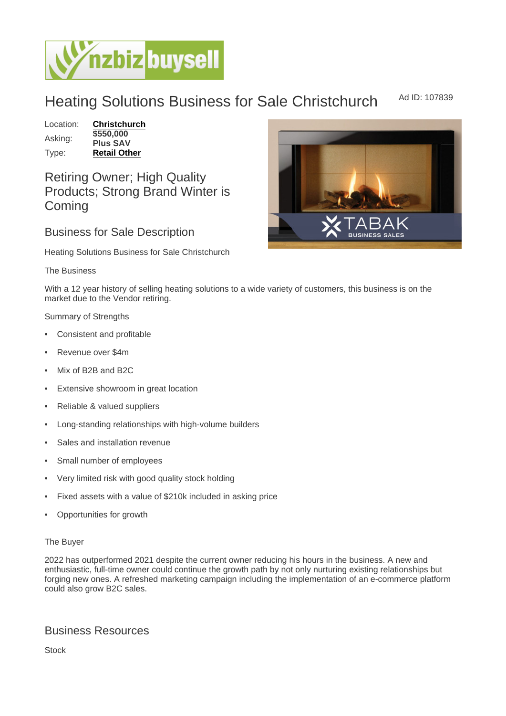## Heating Solutions Business for Sale Christchurch Ad ID: 107839

Location: [Christchurch](https://www.nzbizbuysell.co.nz/businesses-for-sale/location/Christchurch) Asking: \$550,000 Plus SAV Type: [Retail Other](https://www.nzbizbuysell.co.nz/businesses-for-sale/Retail-Other/New-Zealand)

Retiring Owner; High Quality Products; Strong Brand Winter is **Coming** 

## Business for Sale Description

Heating Solutions Business for Sale Christchurch

The Business

With a 12 year history of selling heating solutions to a wide variety of customers, this business is on the market due to the Vendor retiring.

Summary of Strengths

- Consistent and profitable
- Revenue over \$4m
- Mix of B2B and B2C
- Extensive showroom in great location
- Reliable & valued suppliers
- Long-standing relationships with high-volume builders
- Sales and installation revenue
- Small number of employees
- Very limited risk with good quality stock holding
- Fixed assets with a value of \$210k included in asking price
- Opportunities for growth

## The Buyer

2022 has outperformed 2021 despite the current owner reducing his hours in the business. A new and enthusiastic, full-time owner could continue the growth path by not only nurturing existing relationships but forging new ones. A refreshed marketing campaign including the implementation of an e-commerce platform could also grow B2C sales.

## Business Resources

Stock